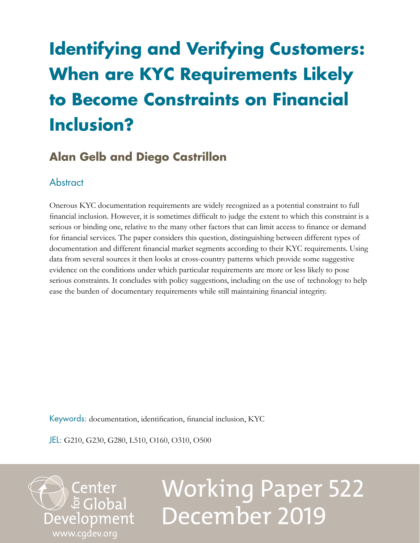## **Identifying and Verifying Customers: When are KYC Requirements Likely to Become Constraints on Financial Inclusion?**

## **Alan Gelb and Diego Castrillon**

## **Abstract**

Onerous KYC documentation requirements are widely recognized as a potential constraint to full financial inclusion. However, it is sometimes difficult to judge the extent to which this constraint is a serious or binding one, relative to the many other factors that can limit access to finance or demand for financial services. The paper considers this question, distinguishing between different types of documentation and different financial market segments according to their KYC requirements. Using data from several sources it then looks at cross-country patterns which provide some suggestive evidence on the conditions under which particular requirements are more or less likely to pose serious constraints. It concludes with policy suggestions, including on the use of technology to help ease the burden of documentary requirements while still maintaining financial integrity.

Keywords: documentation, identification, financial inclusion, KYC

JEL: G210, G230, G280, L510, O160, O310, O500

Center<br>Eclobal Development [www.cgdev.org](http://www.cgdev.org)

# Working Paper 522 December 2019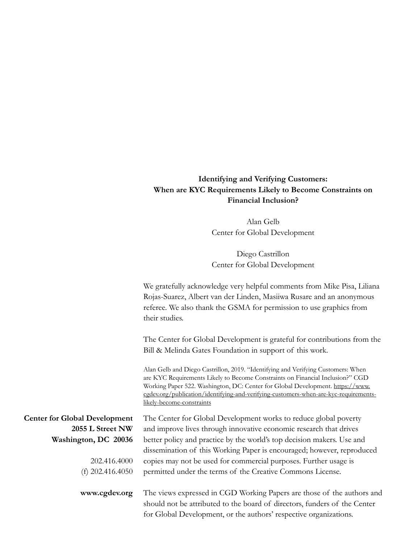## **Identifying and Verifying Customers: When are KYC Requirements Likely to Become Constraints on Financial Inclusion?**

Alan Gelb Center for Global Development

Diego Castrillon Center for Global Development

We gratefully acknowledge very helpful comments from Mike Pisa, Liliana Rojas-Suarez, Albert van der Linden, Masiiwa Rusare and an anonymous referee. We also thank the GSMA for permission to use graphics from their studies.

The Center for Global Development is grateful for contributions from the Bill & Melinda Gates Foundation in support of this work.

Alan Gelb and Diego Castrillon, 2019. "Identifying and Verifying Customers: When are KYC Requirements Likely to Become Constraints on Financial Inclusion?" CGD Working Paper 522. Washington, DC: Center for Global Development. [https://www.](https://www.cgdev.org/publication/identifying-and-verifying-customers-when-are-kyc-requirements-likely-become-constraints) [cgdev.org/publication/identifying-and-verifying-customers-when-are-kyc-requirements](https://www.cgdev.org/publication/identifying-and-verifying-customers-when-are-kyc-requirements-likely-become-constraints)[likely-become-constraints](https://www.cgdev.org/publication/identifying-and-verifying-customers-when-are-kyc-requirements-likely-become-constraints)

| <b>Center for Global Development</b> | The Center for Global Development works to reduce global poverty                                                                                    |
|--------------------------------------|-----------------------------------------------------------------------------------------------------------------------------------------------------|
| 2055 L Street NW                     | and improve lives through innovative economic research that drives                                                                                  |
| Washington, DC 20036                 | better policy and practice by the world's top decision makers. Use and                                                                              |
|                                      | dissemination of this Working Paper is encouraged; however, reproduced                                                                              |
| 202.416.4000                         | copies may not be used for commercial purposes. Further usage is                                                                                    |
| (f) $202.416.4050$                   | permitted under the terms of the Creative Commons License.                                                                                          |
| www.cgdev.org                        | The views expressed in CGD Working Papers are those of the authors and<br>should not be attributed to the board of directors, funders of the Center |
|                                      | for Global Development, or the authors' respective organizations.                                                                                   |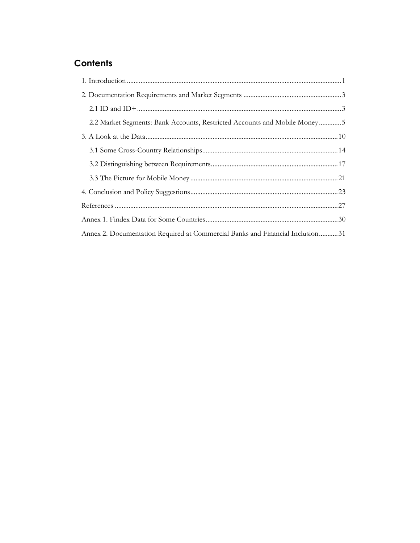## Contents

| 2.2 Market Segments: Bank Accounts, Restricted Accounts and Mobile Money5     |  |
|-------------------------------------------------------------------------------|--|
|                                                                               |  |
|                                                                               |  |
|                                                                               |  |
|                                                                               |  |
|                                                                               |  |
|                                                                               |  |
|                                                                               |  |
| Annex 2. Documentation Required at Commercial Banks and Financial Inclusion31 |  |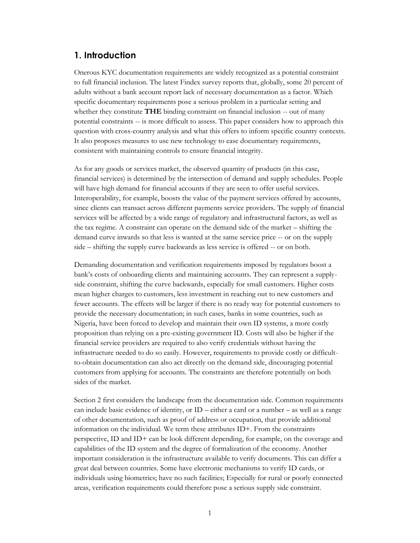## <span id="page-3-1"></span><span id="page-3-0"></span>**1. [Introduction](#page-33-1)**

Onerous [KYC documentation requirements are widely recogn](#page-33-1)ized as a potential constraint to full financial inclusion. The latest Findex survey reports that, globally, some 20 percent of adults without a bank account report lack of necessary documentation as a factor. Which specific documentary requirements pose a serious problem in a particular setting and whether they constitute **THE** binding constraint on financial inclusion -- out of many potential constraints -- is more difficult to assess. This paper considers how to approach this question with cross-country analysis and what this offers to inform specific country contexts. It also proposes measures to use new technology to ease documentary requirements, consistent with maintaining controls to ensure financial integrity.

As for any goods or services market, the observed quantity of products (in this case, financial services) is determined by the intersection of demand and supply schedules. People will have high demand for financial accounts if they are seen to offer useful services. Interoperability, for example, boosts the value of the payment services offered by accounts, since clients can transact across different payments service providers. The supply of financial services will be affected by a wide range of regulatory and infrastructural factors, as well as the tax regime. A constraint can operate on the demand side of the market – shifting the demand curve inwards so that less is wanted at the same service price -- or on the supply side – shifting the supply curve backwards as less service is offered -- or on both.

Demanding documentation and verification requirements imposed by regulators boost a bank's costs of onboarding clients and maintaining accounts. They can represent a supplyside constraint, shifting the curve backwards, especially for small customers. Higher costs mean higher charges to customers, less investment in reaching out to new customers and fewer accounts. The effects will be larger if there is no ready way for potential customers to provide the necessary documentation; in such cases, banks in some countries, such as Nigeria, have been forced to develop and maintain their own ID systems, a more costly proposition than relying on a pre-existing government ID. Costs will also be higher if the financial service providers are required to also verify credentials without having the infrastructure needed to do so easily. However, requirements to provide costly or difficultto-obtain documentation can also act directly on the demand side, discouraging potential customers from applying for accounts. The constraints are therefore potentially on both sides of the market.

Section 2 first considers the landscape from the documentation side. Common requirements can include basic evidence of identity, or  $ID$  – either a card or a number – as well as a range of other documentation, such as proof of address or occupation, that provide additional information on the individual. We term these attributes ID+. From the constraints perspective, ID and ID+ can be look different depending, for example, on the coverage and capabilities of the ID system and the degree of formalization of the economy. Another important consideration is the infrastructure available to verify documents. This can differ a great deal between countries. Some have electronic mechanisms to verify ID cards, or individuals using biometrics; have no such facilities; Especially for rural or poorly connected areas, verification requirements could therefore pose a serious supply side constraint.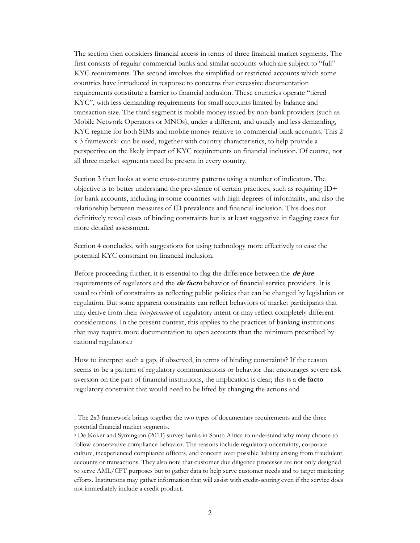The section then considers financial access in terms of three financial market segments. The first consists of regular commercial banks and similar accounts which are subject to "full" KYC requirements. The second involves the simplified or restricted accounts which some countries have introduced in response to concerns that excessive documentation requirements constitute a barrier to financial inclusion. These countries operate "tiered KYC", with less demanding requirements for small accounts limited by balance and transaction size. The third segment is mobile money issued by non-bank providers (such as Mobile Network Operators or MNOs), under a different, and usually and less demanding, KYC regime for both SIMs and mobile money relative to commercial bank accounts. This 2 x 3 framework<sup>1</sup> can be used, together with country characteristics, to help provide a perspective on the likely impact of KYC requirements on financial inclusion. Of course, not all three market segments need be present in every country.

Section 3 then looks at some cross-country patterns using a number of indicators. The objective is to better understand the prevalence of certain practices, such as requiring ID+ for bank accounts, including in some countries with high degrees of informality, and also the relationship between measures of ID prevalence and financial inclusion. This does not definitively reveal cases of binding constraints but is at least suggestive in flagging cases for more detailed assessment.

Section 4 concludes, with suggestions for using technology more effectively to ease the potential KYC constraint on financial inclusion.

Before proceeding further, it is essential to flag the difference between the **de jure** requirements of regulators and the **de facto** behavior of financial service providers. It is usual to think of constraints as reflecting public policies that can be changed by legislation or regulation. But some apparent constraints can reflect behaviors of market participants that may derive from their *interpretation* of regulatory intent or may reflect completely different considerations. In the present context, this applies to the practices of banking institutions that may require more documentation to open accounts than the minimum prescribed by national regulators.<sup>2</sup>

How to interpret such a gap, if observed, in terms of binding constraints? If the reason seems to be a pattern of regulatory communications or behavior that encourages severe risk aversion on the part of financial institutions, the implication is clear; this is a **de facto** regulatory constraint that would need to be lifted by changing the actions and

<sup>2</sup> De Koker and Symington (2011) survey banks in South Africa to understand why many choose to follow conservative compliance behavior. The reasons include regulatory uncertainty, corporate culture, inexperienced compliance officers, and concern over possible liability arising from fraudulent accounts or transactions. They also note that customer due diligence processes are not only designed to serve AML/CFT purposes but to gather data to help serve customer needs and to target marketing efforts. Institutions may gather information that will assist with credit-scoring even if the service does not immediately include a credit product.

<sup>1</sup> The 2x3 framework brings together the two types of documentary requirements and the three potential financial market segments.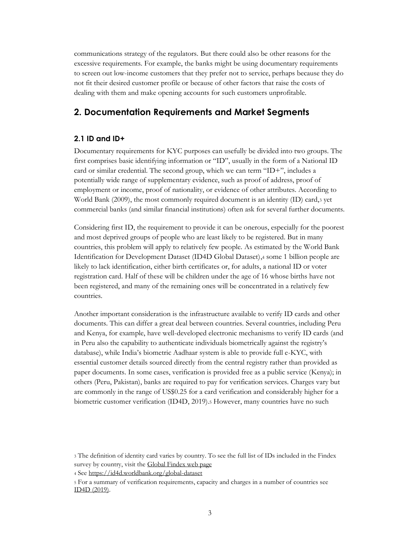communications strategy of the regulators. But there could also be other reasons for the excessive requirements. For example, the banks might be using documentary requirements to screen out low-income customers that they prefer not to service, perhaps because they do not fit their desired customer profile or because of other factors that raise the costs of dealing with them and make opening accounts for such customers unprofitable.

## <span id="page-5-2"></span><span id="page-5-0"></span>**2. Documentation Requirements and Market Segments**

## <span id="page-5-3"></span><span id="page-5-1"></span>**2.1 ID and ID+**

Documentary requirements for KYC purposes can usefully be divided into two groups. The first comprises basic identifying information or "ID", usually in the form of a National ID card or similar credential. The second group, which we can term "ID+", includes a potentially wide range of supplementary evidence, such as proof of address, proof of employment or income, proof of nationality, or evidence of other attributes. According to World Bank (2009), the most commonly required document is an identity (ID) card,<sup>3</sup> yet commercial banks (and similar financial institutions) often ask for several further documents.

Considering first ID, the requirement to provide it can be onerous, especially for the poorest and most deprived groups of people who are least likely to be registered. But in many countries, this problem will apply to relatively few people. As estimated by the World Bank Identification for Development Dataset (ID4D Global Dataset),<sup>4</sup> some 1 billion people are likely to lack identification, either birth certificates or, for adults, a national ID or voter registration card. Half of these will be children under the age of 16 whose births have not been registered, and many of the remaining ones will be concentrated in a relatively few countries.

Another important consideration is the infrastructure available to verify ID cards and other documents. This can differ a great deal between countries. Several countries, including Peru and Kenya, for example, have well-developed electronic mechanisms to verify ID cards (and in Peru also the capability to authenticate individuals biometrically against the registry's database), while India's biometric Aadhaar system is able to provide full e-KYC, with essential customer details sourced directly from the central registry rather than provided as paper documents. In some cases, verification is provided free as a public service (Kenya); in others (Peru, Pakistan), banks are required to pay for verification services. Charges vary but are commonly in the range of US\$0.25 for a card verification and considerably higher for a biometric customer verification (ID4D, 2019).<sup>5</sup> However, many countries have no such

<sup>3</sup> The definition of identity card varies by country. To see the full list of IDs included in the Findex survey by country, visit th[e Global Findex web page](http://www.worldbank.org/globalfindex)

<sup>4</sup> See<https://id4d.worldbank.org/global-dataset>

<sup>5</sup> For a summary of verification requirements, capacity and charges in a number of countries see [ID4D \(2019\).](http://documents.worldbank.org/curated/en/945201555946417898/pdf/Identity-Authentication-and-Verification-Fees-Overview-of-Current-Practices.pdf)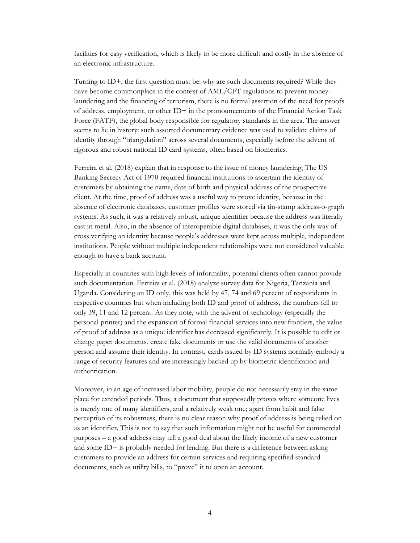facilities for easy verification, which is likely to be more difficult and costly in the absence of an electronic infrastructure.

Turning to ID+, the first question must be: why are such documents required? While they have become commonplace in the context of AML/CFT regulations to prevent moneylaundering and the financing of terrorism, there is no formal assertion of the need for proofs of address, employment, or other ID+ in the pronouncements of the Financial Action Task Force (FATF), the global body responsible for regulatory standards in the area. The answer seems to lie in history: such assorted documentary evidence was used to validate claims of identity through "triangulation" across several documents, especially before the advent of rigorous and robust national ID card systems, often based on biometrics.

Ferreira et al. (2018) explain that in response to the issue of money laundering, The US Banking Secrecy Act of 1970 required financial institutions to ascertain the identity of customers by obtaining the name, date of birth and physical address of the prospective client. At the time, proof of address was a useful way to prove identity, because in the absence of electronic databases, customer profiles were stored via tin-stamp address-o-graph systems. As such, it was a relatively robust, unique identifier because the address was literally cast in metal. Also, in the absence of interoperable digital databases, it was the only way of cross verifying an identity because people's addresses were kept across multiple, independent institutions. People without multiple independent relationships were not considered valuable enough to have a bank account.

Especially in countries with high levels of informality, potential clients often cannot provide such documentation. Ferreira et al. (2018) analyze survey data for Nigeria, Tanzania and Uganda. Considering an ID only, this was held by 47, 74 and 69 percent of respondents in respective countries but when including both ID and proof of address, the numbers fell to only 39, 11 and 12 percent. As they note, with the advent of technology (especially the personal printer) and the expansion of formal financial services into new frontiers, the value of proof of address as a unique identifier has decreased significantly. It is possible to edit or change paper documents, create fake documents or use the valid documents of another person and assume their identity. In contrast, cards issued by ID systems normally embody a range of security features and are increasingly backed up by biometric identification and authentication.

Moreover, in an age of increased labor mobility, people do not necessarily stay in the same place for extended periods. Thus, a document that supposedly proves where someone lives is merely one of many identifiers, and a relatively weak one; apart from habit and false perception of its robustness, there is no clear reason why proof of address is being relied on as an identifier. This is not to say that such information might not be useful for commercial purposes – a good address may tell a good deal about the likely income of a new customer and some ID+ is probably needed for lending. But there is a difference between asking customers to provide an address for certain services and requiring specified standard documents, such as utility bills, to "prove" it to open an account.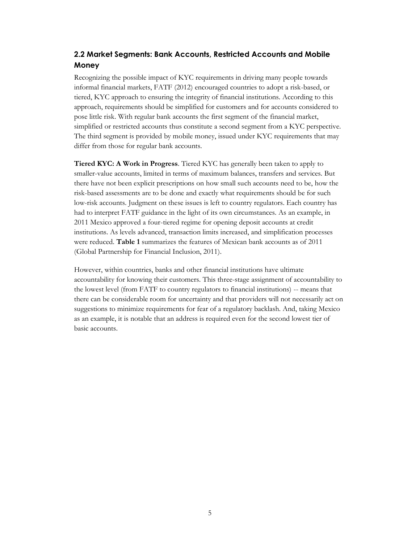## <span id="page-7-1"></span><span id="page-7-0"></span>**2.2 Market Segments: Bank Accounts, Restricted Accounts and Mobile Money**

Recognizing the possible impact of KYC requirements in driving many people towards informal financial markets, FATF (2012) encouraged countries to adopt a risk-based, or tiered, KYC approach to ensuring the integrity of financial institutions. According to this approach, requirements should be simplified for customers and for accounts considered to pose little risk. With regular bank accounts the first segment of the financial market, simplified or restricted accounts thus constitute a second segment from a KYC perspective. The third segment is provided by mobile money, issued under KYC requirements that may differ from those for regular bank accounts.

**Tiered KYC: A Work in Progress**. Tiered KYC has generally been taken to apply to smaller-value accounts, limited in terms of maximum balances, transfers and services. But there have not been explicit prescriptions on how small such accounts need to be, how the risk-based assessments are to be done and exactly what requirements should be for such low-risk accounts. Judgment on these issues is left to country regulators. Each country has had to interpret FATF guidance in the light of its own circumstances. As an example, in 2011 Mexico approved a four-tiered regime for opening deposit accounts at credit institutions. As levels advanced, transaction limits increased, and simplification processes were reduced. **Table 1** summarizes the features of Mexican bank accounts as of 2011 (Global Partnership for Financial Inclusion, 2011).

However, within countries, banks and other financial institutions have ultimate accountability for knowing their customers. This three-stage assignment of accountability to the lowest level (from FATF to country regulators to financial institutions) -- means that there can be considerable room for uncertainty and that providers will not necessarily act on suggestions to minimize requirements for fear of a regulatory backlash. And, taking Mexico as an example, it is notable that an address is required even for the second lowest tier of basic accounts.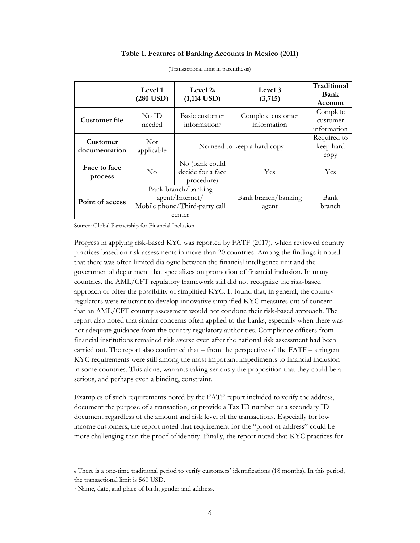#### **Table 1. Features of Banking Accounts in Mexico (2011)**

|                           | Level 1<br>$(280$ USD)                                                            | Level 2 <sub>6</sub><br>$(1,114$ USD)             | Level 3<br>(3,715)               | Traditional<br>Bank<br>Account      |
|---------------------------|-----------------------------------------------------------------------------------|---------------------------------------------------|----------------------------------|-------------------------------------|
| Customer file             | $No$ ID<br>needed                                                                 | Basic customer<br>information?                    | Complete customer<br>information | Complete<br>customer<br>information |
| Customer<br>documentation | Not.<br>applicable                                                                | No need to keep a hard copy                       | Required to<br>keep hard<br>copy |                                     |
| Face to face<br>process   | $\rm No$                                                                          | No (bank could<br>decide for a face<br>procedure) | Yes                              | <b>Yes</b>                          |
| Point of access           | Bank branch/banking<br>agent/Internet/<br>Mobile phone/Third-party call<br>center |                                                   | Bank branch/banking<br>agent     | Bank<br>branch                      |

(Transactional limit in parenthesis)

Source: Global Partnership for Financial Inclusion

Progress in applying risk-based KYC was reported by FATF (2017), which reviewed country practices based on risk assessments in more than 20 countries. Among the findings it noted that there was often limited dialogue between the financial intelligence unit and the governmental department that specializes on promotion of financial inclusion. In many countries, the AML/CFT regulatory framework still did not recognize the risk-based approach or offer the possibility of simplified KYC. It found that, in general, the country regulators were reluctant to develop innovative simplified KYC measures out of concern that an AML/CFT country assessment would not condone their risk-based approach. The report also noted that similar concerns often applied to the banks, especially when there was not adequate guidance from the country regulatory authorities. Compliance officers from financial institutions remained risk averse even after the national risk assessment had been carried out. The report also confirmed that – from the perspective of the FATF – stringent KYC requirements were still among the most important impediments to financial inclusion in some countries. This alone, warrants taking seriously the proposition that they could be a serious, and perhaps even a binding, constraint.

Examples of such requirements noted by the FATF report included to verify the address, document the purpose of a transaction, or provide a Tax ID number or a secondary ID document regardless of the amount and risk level of the transactions. Especially for low income customers, the report noted that requirement for the "proof of address" could be more challenging than the proof of identity. Finally, the report noted that KYC practices for

<sup>7</sup> Name, date, and place of birth, gender and address.

<sup>6</sup> There is a one-time traditional period to verify customers' identifications (18 months). In this period, the transactional limit is 560 USD.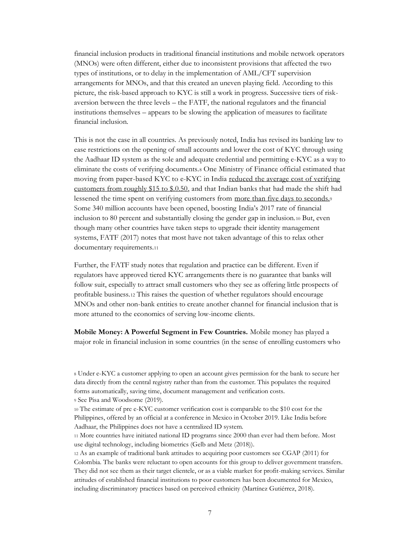financial inclusion products in traditional financial institutions and mobile network operators (MNOs) were often different, either due to inconsistent provisions that affected the two types of institutions, or to delay in the implementation of AML/CFT supervision arrangements for MNOs, and that this created an uneven playing field. According to this picture, the risk-based approach to KYC is still a work in progress. Successive tiers of riskaversion between the three levels – the FATF, the national regulators and the financial institutions themselves – appears to be slowing the application of measures to facilitate financial inclusion.

This is not the case in all countries. As previously noted, India has revised its banking law to ease restrictions on the opening of small accounts and lower the cost of KYC through using the Aadhaar ID system as the sole and adequate credential and permitting e-KYC as a way to eliminate the costs of verifying documents.<sup>8</sup> One Ministry of Finance official estimated that moving from paper-based KYC to e-KYC in India reduced the average cost of [verifying](https://www.thehindubusinessline.com/money-and-banking/use-of-aadhaar-for-kyc-authentication-will-cut-costs/article8490492.ece) [customers](https://www.thehindubusinessline.com/money-and-banking/use-of-aadhaar-for-kyc-authentication-will-cut-costs/article8490492.ece) from roughly \$15 to \$.0.50, and that Indian banks that had made the shift had lessened the time spent on verifying customers from more than five days to [seconds.](https://economictimes.indiatimes.com/small-biz/startups/features/indias-fintech-companies-struggle-for-an-alternative-to-aadhaar/articleshow/67186586.cms)<sup>9</sup> Some 340 million accounts have been opened, boosting India's 2017 rate of financial inclusion to 80 percent and substantially closing the gender gap in inclusion.<sup>10</sup> But, even though many other countries have taken steps to upgrade their identity management systems, FATF (2017) notes that most have not taken advantage of this to relax other documentary requirements.<sup>11</sup>

Further, the FATF study notes that regulation and practice can be different. Even if regulators have approved tiered KYC arrangements there is no guarantee that banks will follow suit, especially to attract small customers who they see as offering little prospects of profitable business.<sup>12</sup> This raises the question of whether regulators should encourage MNOs and other non-bank entities to create another channel for financial inclusion that is more attuned to the economics of serving low-income clients.

**Mobile Money: A Powerful Segment in Few Countries.** Mobile money has played a major role in financial inclusion in some countries (in the sense of enrolling customers who

<sup>8</sup> Under e-KYC a customer applying to open an account gives permission for the bank to secure her data directly from the central registry rather than from the customer. This populates the required forms automatically, saving time, document management and verification costs. <sup>9</sup> See Pisa and Woodsome (2019).

<sup>10</sup> The estimate of pre e-KYC customer verification cost is comparable to the \$10 cost for the Philippines, offered by an official at a conference in Mexico in October 2019. Like India before Aadhaar, the Philippines does not have a centralized ID system.

<sup>11</sup> More countries have initiated national ID programs since 2000 than ever had them before. Most use digital technology, including biometrics (Gelb and Metz (2018)).

<sup>12</sup> As an example of traditional bank attitudes to acquiring poor customers see CGAP (2011) for Colombia. The banks were reluctant to open accounts for this group to deliver government transfers. They did not see them as their target clientele, or as a viable market for profit-making services. Similar attitudes of established financial institutions to poor customers has been documented for Mexico, including discriminatory practices based on perceived ethnicity (Martínez Gutiérrez, 2018).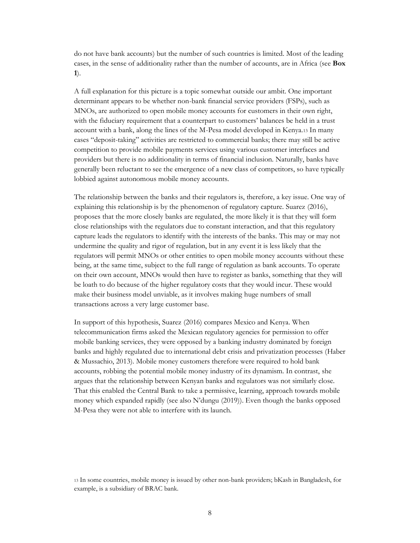do not have bank accounts) but the number of such countries is limited. Most of the leading cases, in the sense of additionality rather than the number of accounts, are in Africa (see **Box 1**).

A full explanation for this picture is a topic somewhat outside our ambit. One important determinant appears to be whether non-bank financial service providers (FSPs), such as MNOs, are authorized to open mobile money accounts for customers in their own right, with the fiduciary requirement that a counterpart to customers' balances be held in a trust account with a bank, along the lines of the M-Pesa model developed in Kenya.<sup>13</sup> In many cases "deposit-taking" activities are restricted to commercial banks; there may still be active competition to provide mobile payments services using various customer interfaces and providers but there is no additionality in terms of financial inclusion. Naturally, banks have generally been reluctant to see the emergence of a new class of competitors, so have typically lobbied against autonomous mobile money accounts.

The relationship between the banks and their regulators is, therefore, a key issue. One way of explaining this relationship is by the phenomenon of regulatory capture. Suarez (2016), proposes that the more closely banks are regulated, the more likely it is that they will form close relationships with the regulators due to constant interaction, and that this regulatory capture leads the regulators to identify with the interests of the banks. This may or may not undermine the quality and rigor of regulation, but in any event it is less likely that the regulators will permit MNOs or other entities to open mobile money accounts without these being, at the same time, subject to the full range of regulation as bank accounts. To operate on their own account, MNOs would then have to register as banks, something that they will be loath to do because of the higher regulatory costs that they would incur. These would make their business model unviable, as it involves making huge numbers of small transactions across a very large customer base.

In support of this hypothesis, Suarez (2016) compares Mexico and Kenya. When telecommunication firms asked the Mexican regulatory agencies for permission to offer mobile banking services, they were opposed by a banking industry dominated by foreign banks and highly regulated due to international debt crisis and privatization processes (Haber & Mussachio, 2013). Mobile money customers therefore were required to hold bank accounts, robbing the potential mobile money industry of its dynamism. In contrast, she argues that the relationship between Kenyan banks and regulators was not similarly close. That this enabled the Central Bank to take a permissive, learning, approach towards mobile money which expanded rapidly (see also N'dungu (2019)). Even though the banks opposed M-Pesa they were not able to interfere with its launch.

<sup>13</sup> In some countries, mobile money is issued by other non-bank providers; bKash in Bangladesh, for example, is a subsidiary of BRAC bank.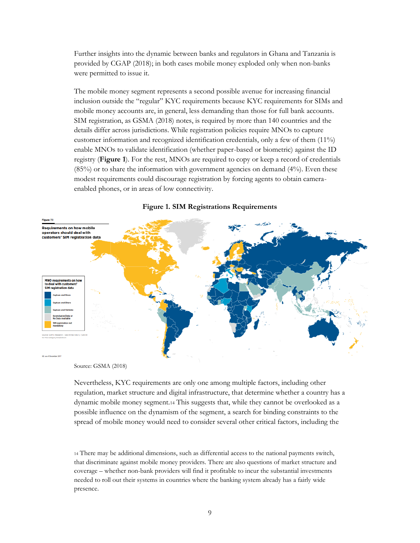Further insights into the dynamic between banks and regulators in Ghana and Tanzania is provided by CGAP (2018); in both cases mobile money exploded only when non-banks were permitted to issue it.

The mobile money segment represents a second possible avenue for increasing financial inclusion outside the "regular" KYC requirements because KYC requirements for SIMs and mobile money accounts are, in general, less demanding than those for full bank accounts. SIM registration, as GSMA (2018) notes, is required by more than 140 countries and the details differ across jurisdictions. While registration policies require MNOs to capture customer information and recognized identification credentials, only a few of them (11%) enable MNOs to validate identification (whether paper-based or biometric) against the ID registry (**Figure 1**). For the rest, MNOs are required to copy or keep a record of credentials  $(85%)$  or to share the information with government agencies on demand  $(4%)$ . Even these modest requirements could discourage registration by forcing agents to obtain cameraenabled phones, or in areas of low connectivity.



#### **Figure 1. SIM Registrations Requirements**

Source: GSMA (2018)

Nevertheless, KYC requirements are only one among multiple factors, including other regulation, market structure and digital infrastructure, that determine whether a country has a dynamic mobile money segment.<sup>14</sup> This suggests that, while they cannot be overlooked as a possible influence on the dynamism of the segment, a search for binding constraints to the spread of mobile money would need to consider several other critical factors, including the

<sup>14</sup> There may be additional dimensions, such as differential access to the national payments switch, that discriminate against mobile money providers. There are also questions of market structure and coverage – whether non-bank providers will find it profitable to incur the substantial investments needed to roll out their systems in countries where the banking system already has a fairly wide presence.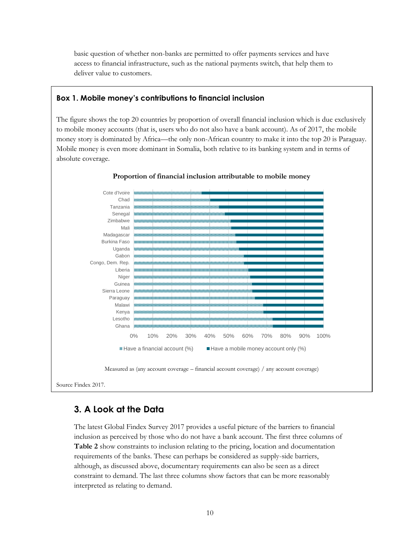basic question of whether non-banks are permitted to offer payments services and have access to financial infrastructure, such as the national payments switch, that help them to deliver value to customers.

## **Box 1. Mobile money's contributions to financial inclusion**

The figure shows the top 20 countries by proportion of overall financial inclusion which is due exclusively to mobile money accounts (that is, users who do not also have a bank account). As of 2017, the mobile money story is dominated by Africa—the only non-African country to make it into the top 20 is Paraguay. Mobile money is even more dominant in Somalia, both relative to its banking system and in terms of absolute coverage.



#### **Proportion of financial inclusion attributable to mobile money**

Source Findex 2017.

## <span id="page-12-1"></span><span id="page-12-0"></span>**3. A Look at the Data**

The latest Global Findex Survey 2017 provides a useful picture of the barriers to financial inclusion as perceived by those who do not have a bank account. The first three columns of **Table 2** show constraints to inclusion relating to the pricing, location and documentation requirements of the banks. These can perhaps be considered as supply-side barriers, although, as discussed above, documentary requirements can also be seen as a direct constraint to demand. The last three columns show factors that can be more reasonably interpreted as relating to demand.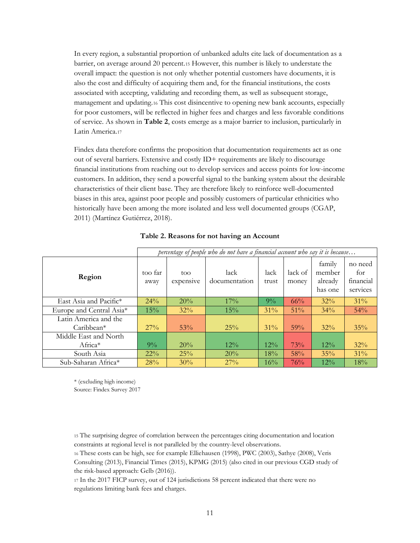In every region, a substantial proportion of unbanked adults cite lack of documentation as a barrier, on average around 20 percent.<sup>15</sup> However, this number is likely to understate the overall impact: the question is not only whether potential customers have documents, it is also the cost and difficulty of acquiring them and, for the financial institutions, the costs associated with accepting, validating and recording them, as well as subsequent storage, management and updating.<sup>16</sup> This cost disincentive to opening new bank accounts, especially for poor customers, will be reflected in higher fees and charges and less favorable conditions of service. As shown in **Table 2**, costs emerge as a major barrier to inclusion, particularly in Latin America.<sup>17</sup>

Findex data therefore confirms the proposition that documentation requirements act as one out of several barriers. Extensive and costly ID+ requirements are likely to discourage financial institutions from reaching out to develop services and access points for low-income customers. In addition, they send a powerful signal to the banking system about the desirable characteristics of their client base. They are therefore likely to reinforce well-documented biases in this area, against poor people and possibly customers of particular ethnicities who historically have been among the more isolated and less well documented groups (CGAP, 2011) (Martínez Gutiérrez, 2018).

|                                       | percentage of people who do not have a financial account who say it is because |                   |                       |               |                  |                                        |                                         |
|---------------------------------------|--------------------------------------------------------------------------------|-------------------|-----------------------|---------------|------------------|----------------------------------------|-----------------------------------------|
| Region                                | too far<br>away                                                                | too.<br>expensive | lack<br>documentation | lack<br>trust | lack of<br>money | family<br>member<br>already<br>has one | no need<br>for<br>financial<br>services |
| East Asia and Pacific*                | 24%                                                                            | 20%               | 17%                   | $9\%$         | 66%              | 32%                                    | $31\%$                                  |
| Europe and Central Asia*              | 15%                                                                            | 32%               | 15%                   | 31%           | 51%              | 34%                                    | 54%                                     |
| Latin America and the<br>$Caribbean*$ | 27%                                                                            | 53%               | 25%                   | $31\%$        | 59%              | $32\%$                                 | 35%                                     |
| Middle East and North                 |                                                                                |                   |                       |               |                  |                                        |                                         |
| Africa <sup>*</sup>                   | $9\%$                                                                          | 20%               | $12\%$                | $12\%$        | 73%              | $12\%$                                 | 32%                                     |
| South Asia                            | $22\%$                                                                         | 25%               | 20%                   | 18%           | 58%              | 35%                                    | $31\%$                                  |
| Sub-Saharan Africa*                   | 28%                                                                            | $30\%$            | 27%                   | $16\%$        | 76%              | $12\%$                                 | 18%                                     |

#### **Table 2. Reasons for not having an Account**

\* (excluding high income) Source: Findex Survey 2017

<sup>15</sup> The surprising degree of correlation between the percentages citing documentation and location constraints at regional level is not paralleled by the country-level observations.

<sup>16</sup> These costs can be high, see for example Elliehausen (1998), PWC (2003), Sathye (2008), Veris

Consulting (2013), Financial Times (2015), KPMG (2015) (also cited in our previous CGD study of the risk-based approach: Gelb (2016)).

<sup>17</sup> In the 2017 FICP survey, out of 124 jurisdictions 58 percent indicated that there were no regulations limiting bank fees and charges.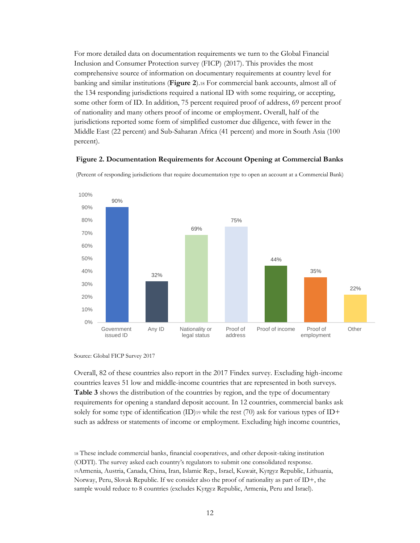For more detailed data on documentation requirements we turn to the Global Financial Inclusion and Consumer Protection survey (FICP) (2017). This provides the most comprehensive source of information on documentary requirements at country level for banking and similar institutions (**Figure 2**).<sup>18</sup> For commercial bank accounts, almost all of the 134 responding jurisdictions required a national ID with some requiring, or accepting, some other form of ID. In addition, 75 percent required proof of address, 69 percent proof of nationality and many others proof of income or employment**.** Overall, half of the jurisdictions reported some form of simplified customer due diligence, with fewer in the Middle East (22 percent) and Sub-Saharan Africa (41 percent) and more in South Asia (100 percent).

#### **Figure 2. Documentation Requirements for Account Opening at Commercial Banks**



(Percent of responding jurisdictions that require documentation type to open an account at a Commercial Bank)

Overall, 82 of these countries also report in the 2017 Findex survey. Excluding high-income countries leaves 51 low and middle-income countries that are represented in both surveys. **Table 3** shows the distribution of the countries by region, and the type of documentary requirements for opening a standard deposit account. In 12 countries, commercial banks ask solely for some type of identification  $(ID)_{19}$  while the rest  $(70)$  ask for various types of ID+ such as address or statements of income or employment. Excluding high income countries,

<sup>18</sup> These include commercial banks, financial cooperatives, and other deposit-taking institution (ODTI). The survey asked each country's regulators to submit one consolidated response. <sup>19</sup>Armenia, Austria, Canada, China, Iran, Islamic Rep., Israel, Kuwait, Kyrgyz Republic, Lithuania, Norway, Peru, Slovak Republic. If we consider also the proof of nationality as part of ID+, the sample would reduce to 8 countries (excludes Kyrgyz Republic, Armenia, Peru and Israel).

Source: Global FICP Survey 2017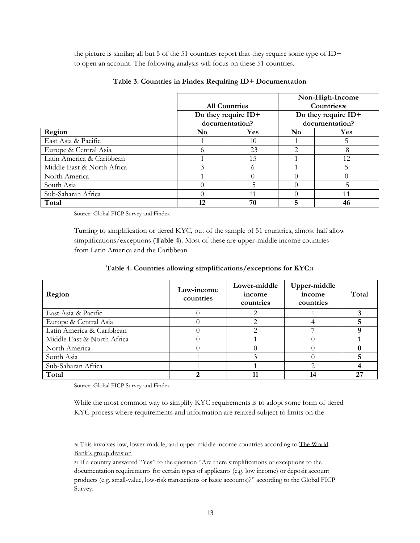the picture is similar; all but 5 of the 51 countries report that they require some type of ID+ to open an account. The following analysis will focus on these 51 countries.

|                            |                              |                     | Non-High-Income         |                     |  |
|----------------------------|------------------------------|---------------------|-------------------------|---------------------|--|
|                            | <b>All Countries</b>         |                     | Countries <sub>20</sub> |                     |  |
|                            |                              | Do they require ID+ |                         | Do they require ID+ |  |
|                            | documentation?               |                     |                         | documentation?      |  |
| Region                     | <b>Yes</b><br>N <sub>0</sub> |                     | N <sub>0</sub>          | <b>Yes</b>          |  |
| East Asia & Pacific        |                              | 10                  |                         | 5                   |  |
| Europe & Central Asia      |                              | 23                  | 2                       | 8                   |  |
| Latin America & Caribbean  |                              | 15                  |                         | 12                  |  |
| Middle East & North Africa |                              |                     |                         |                     |  |
| North America              |                              |                     |                         |                     |  |
| South Asia                 |                              |                     |                         | 5                   |  |
| Sub-Saharan Africa         |                              |                     | 11                      |                     |  |
| Total                      | 12                           | 70                  | 5                       | 46                  |  |

#### **Table 3. Countries in Findex Requiring ID+ Documentation**

Source: Global FICP Survey and Findex

Turning to simplification or tiered KYC, out of the sample of 51 countries, almost half allow simplifications/exceptions (**Table 4**). Most of these are upper-middle income countries from Latin America and the Caribbean.

| Region                     | Low-income<br>countries | Lower-middle<br>income<br>countries | Upper-middle<br>income<br>countries | Total |
|----------------------------|-------------------------|-------------------------------------|-------------------------------------|-------|
| East Asia & Pacific        |                         |                                     |                                     |       |
| Europe & Central Asia      |                         |                                     |                                     |       |
| Latin America & Caribbean  |                         |                                     |                                     |       |
| Middle East & North Africa |                         |                                     |                                     |       |
| North America              |                         |                                     |                                     |       |
| South Asia                 |                         |                                     |                                     |       |
| Sub-Saharan Africa         |                         |                                     |                                     |       |
| Total                      |                         |                                     | 14                                  | 27    |

Source: Global FICP Survey and Findex

While the most common way to simplify KYC requirements is to adopt some form of tiered KYC process where requirements and information are relaxed subject to limits on the

<sup>20</sup> This involves low, lower-middle, and upper-middle income countries according to [The World](https://datahelpdesk.worldbank.org/knowledgebase/articles/906519-world-bank-country-and-lending-groups)  [Bank's group division](https://datahelpdesk.worldbank.org/knowledgebase/articles/906519-world-bank-country-and-lending-groups)

<sup>21</sup> If a country answered "Yes" to the question "Are there simplifications or exceptions to the documentation requirements for certain types of applicants (e.g. low income) or deposit account products (e.g. small-value, low-risk transactions or basic accounts)?" according to the Global FICP Survey.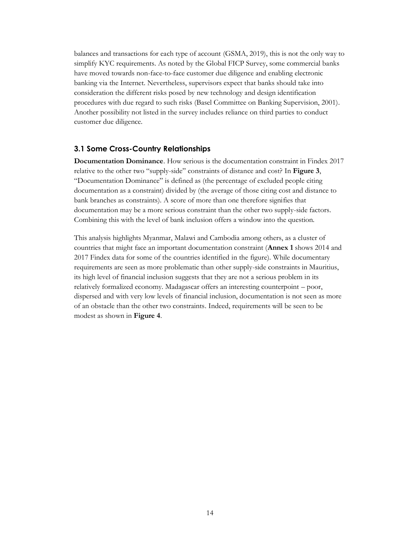balances and transactions for each type of account (GSMA, 2019), this is not the only way to simplify KYC requirements. As noted by the Global FICP Survey, some commercial banks have moved towards non-face-to-face customer due diligence and enabling electronic banking via the Internet. Nevertheless, supervisors expect that banks should take into consideration the different risks posed by new technology and design identification procedures with due regard to such risks (Basel Committee on Banking Supervision, 2001). Another possibility not listed in the survey includes reliance on third parties to conduct customer due diligence.

## <span id="page-16-1"></span><span id="page-16-0"></span>**3.1 Some Cross-Country Relationships**

**Documentation Dominance**. How serious is the documentation constraint in Findex 2017 relative to the other two "supply-side" constraints of distance and cost? In **Figure 3**, "Documentation Dominance" is defined as (the percentage of excluded people citing documentation as a constraint) divided by (the average of those citing cost and distance to bank branches as constraints). A score of more than one therefore signifies that documentation may be a more serious constraint than the other two supply-side factors. Combining this with the level of bank inclusion offers a window into the question.

This analysis highlights Myanmar, Malawi and Cambodia among others, as a cluster of countries that might face an important documentation constraint (**Annex 1** shows 2014 and 2017 Findex data for some of the countries identified in the figure). While documentary requirements are seen as more problematic than other supply-side constraints in Mauritius, its high level of financial inclusion suggests that they are not a serious problem in its relatively formalized economy. Madagascar offers an interesting counterpoint – poor, dispersed and with very low levels of financial inclusion, documentation is not seen as more of an obstacle than the other two constraints. Indeed, requirements will be seen to be modest as shown in **Figure 4**.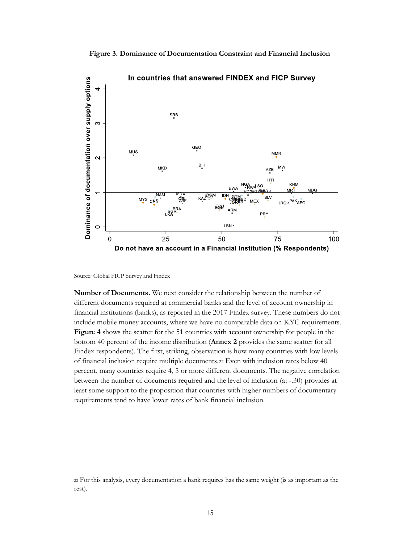**Figure 3. Dominance of Documentation Constraint and Financial Inclusion**



Source: Global FICP Survey and Findex

**Number of Documents.** We next consider the relationship between the number of different documents required at commercial banks and the level of account ownership in financial institutions (banks), as reported in the 2017 Findex survey. These numbers do not include mobile money accounts, where we have no comparable data on KYC requirements. **Figure 4** shows the scatter for the 51 countries with account ownership for people in the bottom 40 percent of the income distribution (**Annex 2** provides the same scatter for all Findex respondents). The first, striking, observation is how many countries with low levels of financial inclusion require multiple documents.<sup>22</sup> Even with inclusion rates below 40 percent, many countries require 4, 5 or more different documents. The negative correlation between the number of documents required and the level of inclusion (at -.30) provides at least some support to the proposition that countries with higher numbers of documentary requirements tend to have lower rates of bank financial inclusion.

<sup>22</sup> For this analysis, every documentation a bank requires has the same weight (is as important as the rest).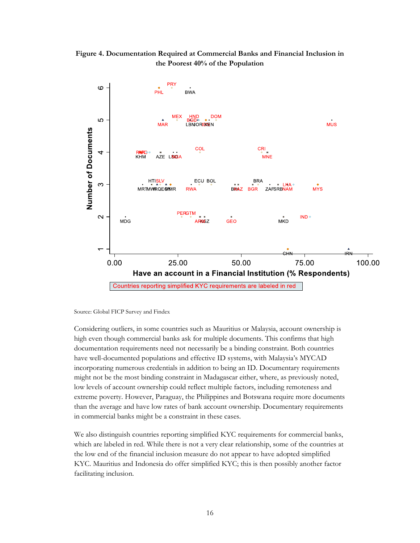



Source: Global FICP Survey and Findex

Considering outliers, in some countries such as Mauritius or Malaysia, account ownership is high even though commercial banks ask for multiple documents. This confirms that high documentation requirements need not necessarily be a binding constraint. Both countries have well-documented populations and effective ID systems, with Malaysia's MYCAD incorporating numerous credentials in addition to being an ID. Documentary requirements might not be the most binding constraint in Madagascar either, where, as previously noted, low levels of account ownership could reflect multiple factors, including remoteness and extreme poverty. However, Paraguay, the Philippines and Botswana require more documents than the average and have low rates of bank account ownership. Documentary requirements in commercial banks might be a constraint in these cases.

We also distinguish countries reporting simplified KYC requirements for commercial banks, which are labeled in red. While there is not a very clear relationship, some of the countries at the low end of the financial inclusion measure do not appear to have adopted simplified KYC. Mauritius and Indonesia do offer simplified KYC; this is then possibly another factor facilitating inclusion.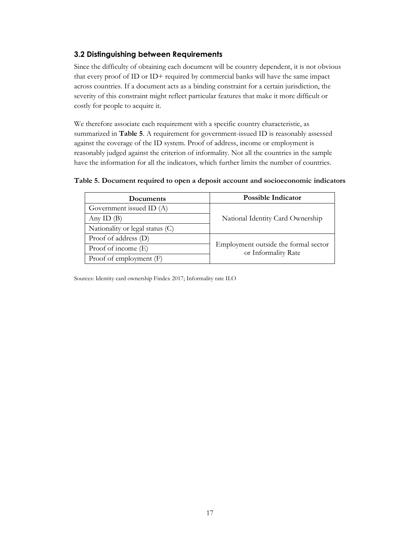## <span id="page-19-1"></span><span id="page-19-0"></span>**3.2 Distinguishing between Requirements**

Since the difficulty of obtaining each document will be country dependent, it is not obvious that every proof of ID or ID+ required by commercial banks will have the same impact across countries. If a document acts as a binding constraint for a certain jurisdiction, the severity of this constraint might reflect particular features that make it more difficult or costly for people to acquire it.

We therefore associate each requirement with a specific country characteristic, as summarized in **Table 5**. A requirement for government-issued ID is reasonably assessed against the coverage of the ID system. Proof of address, income or employment is reasonably judged against the criterion of informality. Not all the countries in the sample have the information for all the indicators, which further limits the number of countries.

| Documents                       | <b>Possible Indicator</b>                                   |
|---------------------------------|-------------------------------------------------------------|
| Government issued ID (A)        |                                                             |
| Any ID $(B)$                    | National Identity Card Ownership                            |
| Nationality or legal status (C) |                                                             |
| Proof of address (D)            |                                                             |
| Proof of income (E)             | Employment outside the formal sector<br>or Informality Rate |

## **Table 5. Document required to open a deposit account and socioeconomic indicators**

Sources: Identity card ownership Findex 2017; Informality rate ILO

Proof of employment (F)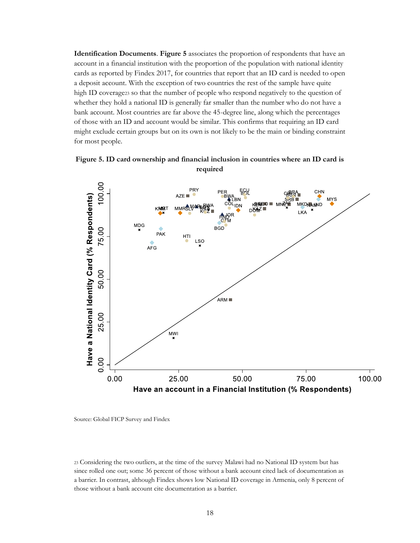**Identification Documents**. **Figure 5** associates the proportion of respondents that have an account in a financial institution with the proportion of the population with national identity cards as reported by Findex 2017, for countries that report that an ID card is needed to open a deposit account. With the exception of two countries the rest of the sample have quite high ID coverage23 so that the number of people who respond negatively to the question of whether they hold a national ID is generally far smaller than the number who do not have a bank account. Most countries are far above the 45-degree line, along which the percentages of those with an ID and account would be similar. This confirms that requiring an ID card might exclude certain groups but on its own is not likely to be the main or binding constraint for most people.





Source: Global FICP Survey and Findex

<sup>23</sup> Considering the two outliers, at the time of the survey Malawi had no National ID system but has since rolled one out; some 36 percent of those without a bank account cited lack of documentation as a barrier. In contrast, although Findex shows low National ID coverage in Armenia, only 8 percent of those without a bank account cite documentation as a barrier.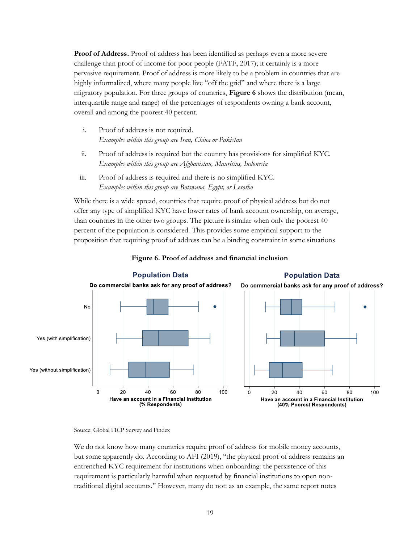**Proof of Address.** Proof of address has been identified as perhaps even a more severe challenge than proof of income for poor people (FATF, 2017); it certainly is a more pervasive requirement. Proof of address is more likely to be a problem in countries that are highly informalized, where many people live "off the grid" and where there is a large migratory population. For three groups of countries, **Figure 6** shows the distribution (mean, interquartile range and range) of the percentages of respondents owning a bank account, overall and among the poorest 40 percent.

- i. Proof of address is not required. *Examples within this group are Iran, China or Pakistan*
- ii. Proof of address is required but the country has provisions for simplified KYC. *Examples within this group are Afghanistan, Mauritius, Indonesia*
- iii. Proof of address is required and there is no simplified KYC. *Examples within this group are Botswana, Egypt, or Lesotho*

While there is a wide spread, countries that require proof of physical address but do not offer any type of simplified KYC have lower rates of bank account ownership, on average, than countries in the other two groups. The picture is similar when only the poorest 40 percent of the population is considered. This provides some empirical support to the proposition that requiring proof of address can be a binding constraint in some situations



## **Figure 6. Proof of address and financial inclusion**

We do not know how many countries require proof of address for mobile money accounts, but some apparently do. According to AFI (2019), "the physical proof of address remains an entrenched KYC requirement for institutions when onboarding: the persistence of this requirement is particularly harmful when requested by financial institutions to open nontraditional digital accounts." However, many do not: as an example, the same report notes

Source: Global FICP Survey and Findex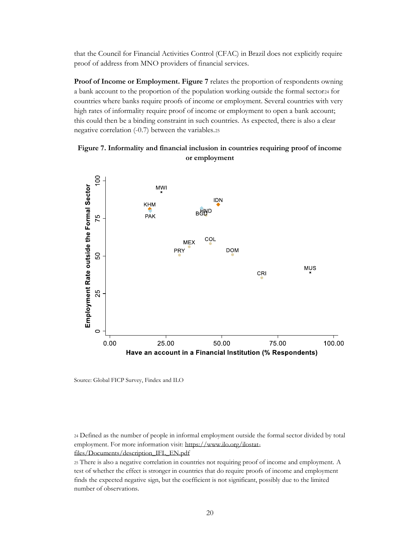that the Council for Financial Activities Control (CFAC) in Brazil does not explicitly require proof of address from MNO providers of financial services.

**Proof of Income or Employment. Figure 7** relates the proportion of respondents owning a bank account to the proportion of the population working outside the formal sector<sup>24</sup> for countries where banks require proofs of income or employment. Several countries with very high rates of informality require proof of income or employment to open a bank account; this could then be a binding constraint in such countries. As expected, there is also a clear negative correlation (-0.7) between the variables.<sup>25</sup>





Source: Global FICP Survey, Findex and ILO

<sup>24</sup> Defined as the number of people in informal employment outside the formal sector divided by total employment. For more information visit: [https://www.ilo.org/ilostat](https://www.ilo.org/ilostat-files/Documents/description_IFL_EN.pdf)[files/Documents/description\\_IFL\\_EN.pdf](https://www.ilo.org/ilostat-files/Documents/description_IFL_EN.pdf)

<sup>25</sup> There is also a negative correlation in countries not requiring proof of income and employment. A test of whether the effect is stronger in countries that do require proofs of income and employment finds the expected negative sign, but the coefficient is not significant, possibly due to the limited number of observations.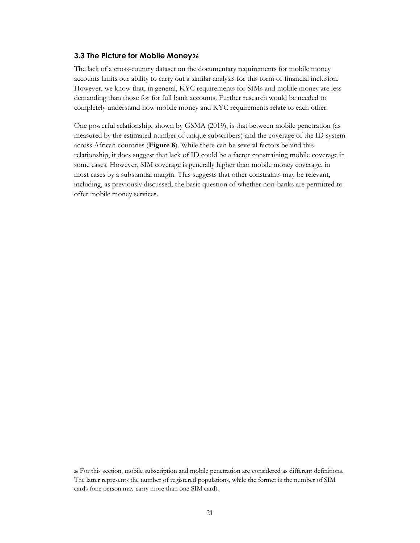#### <span id="page-23-1"></span><span id="page-23-0"></span>**3.3 The Picture for Mobile Money26**

The lack of a cross-country dataset on the documentary requirements for mobile money accounts limits our ability to carry out a similar analysis for this form of financial inclusion. However, we know that, in general, KYC requirements for SIMs and mobile money are less demanding than those for for full bank accounts. Further research would be needed to completely understand how mobile money and KYC requirements relate to each other.

One powerful relationship, shown by GSMA (2019), is that between mobile penetration (as measured by the estimated number of unique subscribers) and the coverage of the ID system across African countries (**Figure 8**). While there can be several factors behind this relationship, it does suggest that lack of ID could be a factor constraining mobile coverage in some cases. However, SIM coverage is generally higher than mobile money coverage, in most cases by a substantial margin. This suggests that other constraints may be relevant, including, as previously discussed, the basic question of whether non-banks are permitted to offer mobile money services.

<sup>26</sup> For this section, mobile subscription and mobile penetration are considered as different definitions. The latter represents the number of registered populations, while the former is the number of SIM cards (one person may carry more than one SIM card).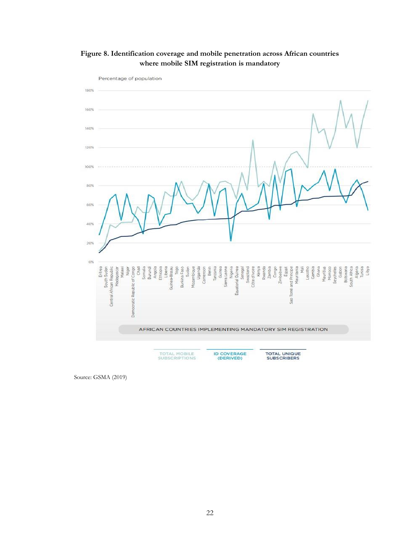



Source: GSMA (2019)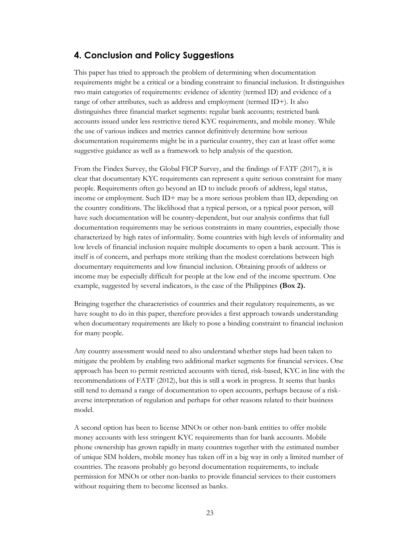## <span id="page-25-1"></span><span id="page-25-0"></span>**4. Conclusion and Policy Suggestions**

This paper has tried to approach the problem of determining when documentation requirements might be a critical or a binding constraint to financial inclusion. It distinguishes two main categories of requirements: evidence of identity (termed ID) and evidence of a range of other attributes, such as address and employment (termed ID+). It also distinguishes three financial market segments: regular bank accounts; restricted bank accounts issued under less restrictive tiered KYC requirements, and mobile money. While the use of various indices and metrics cannot definitively determine how serious documentation requirements might be in a particular country, they can at least offer some suggestive guidance as well as a framework to help analysis of the question.

From the Findex Survey, the Global FICP Survey, and the findings of FATF (2017), it is clear that documentary KYC requirements can represent a quite serious constraint for many people. Requirements often go beyond an ID to include proofs of address, legal status, income or employment. Such ID+ may be a more serious problem than ID, depending on the country conditions. The likelihood that a typical person, or a typical poor person, will have such documentation will be country-dependent, but our analysis confirms that full documentation requirements may be serious constraints in many countries, especially those characterized by high rates of informality. Some countries with high levels of informality and low levels of financial inclusion require multiple documents to open a bank account. This is itself is of concern, and perhaps more striking than the modest correlations between high documentary requirements and low financial inclusion. Obtaining proofs of address or income may be especially difficult for people at the low end of the income spectrum. One example, suggested by several indicators, is the case of the Philippines **(Box 2).** 

Bringing together the characteristics of countries and their regulatory requirements, as we have sought to do in this paper, therefore provides a first approach towards understanding when documentary requirements are likely to pose a binding constraint to financial inclusion for many people.

Any country assessment would need to also understand whether steps had been taken to mitigate the problem by enabling two additional market segments for financial services. One approach has been to permit restricted accounts with tiered, risk-based, KYC in line with the recommendations of FATF (2012), but this is still a work in progress. It seems that banks still tend to demand a range of documentation to open accounts, perhaps because of a riskaverse interpretation of regulation and perhaps for other reasons related to their business model.

A second option has been to license MNOs or other non-bank entities to offer mobile money accounts with less stringent KYC requirements than for bank accounts. Mobile phone ownership has grown rapidly in many countries together with the estimated number of unique SIM holders, mobile money has taken off in a big way in only a limited number of countries. The reasons probably go beyond documentation requirements, to include permission for MNOs or other non-banks to provide financial services to their customers without requiring them to become licensed as banks.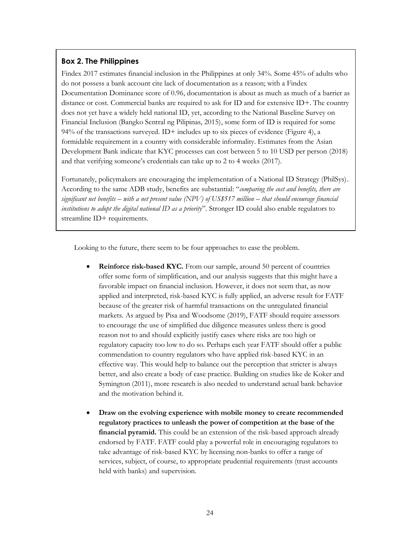## **Box 2. The Philippines**

Findex 2017 estimates financial inclusion in the Philippines at only 34%. Some 45% of adults who do not possess a bank account cite lack of documentation as a reason; with a Findex Documentation Dominance score of 0.96, documentation is about as much as much of a barrier as distance or cost. Commercial banks are required to ask for ID and for extensive ID+. The country does not yet have a widely held national ID, yet, according to the National Baseline Survey on Financial Inclusion (Bangko Sentral ng Pilipinas, 2015), some form of ID is required for some 94% of the transactions surveyed.  $ID+$  includes up to six pieces of evidence (Figure 4), a formidable requirement in a country with considerable informality. Estimates from the Asian Development Bank indicate that KYC processes can cost between 5 to 10 USD per person (2018) and that verifying someone's credentials can take up to 2 to 4 weeks (2017).

Fortunately, policymakers are encouraging the implementation of a National ID Strategy (PhilSys). According to the same ADB study, benefits are substantial: "*comparing the cost and benefits, there are significant net benefits – with a net present value* (NPV) of US\$517 million – *that should encourage financial institutions to adopt the digital national ID as a priority*". Stronger ID could also enable regulators to streamline ID+ requirements.

Looking to the future, there seem to be four approaches to ease the problem.

- **Reinforce risk-based KYC.** From our sample, around 50 percent of countries offer some form of simplification, and our analysis suggests that this might have a favorable impact on financial inclusion. However, it does not seem that, as now applied and interpreted, risk-based KYC is fully applied, an adverse result for FATF because of the greater risk of harmful transactions on the unregulated financial markets. As argued by Pisa and Woodsome (2019), FATF should require assessors to encourage the use of simplified due diligence measures unless there is good reason not to and should explicitly justify cases where risks are too high or regulatory capacity too low to do so. Perhaps each year FATF should offer a public commendation to country regulators who have applied risk-based KYC in an effective way. This would help to balance out the perception that stricter is always better, and also create a body of case practice. Building on studies like de Koker and Symington (2011), more research is also needed to understand actual bank behavior and the motivation behind it.
- **Draw on the evolving experience with mobile money to create recommended regulatory practices to unleash the power of competition at the base of the financial pyramid.** This could be an extension of the risk-based approach already endorsed by FATF. FATF could play a powerful role in encouraging regulators to take advantage of risk-based KYC by licensing non-banks to offer a range of services, subject, of course, to appropriate prudential requirements (trust accounts held with banks) and supervision.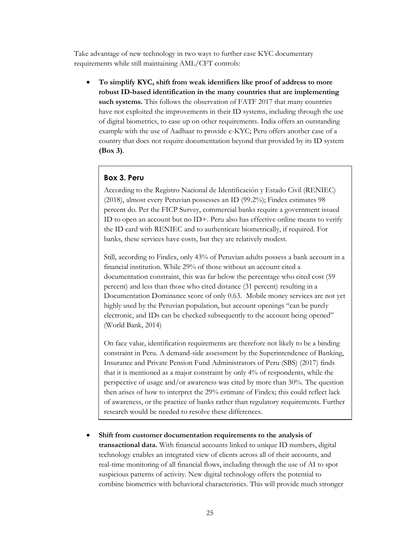Take advantage of new technology in two ways to further ease KYC documentary requirements while still maintaining AML/CFT controls:

• **To simplify KYC, shift from weak identifiers like proof of address to more robust ID-based identification in the many countries that are implementing**  such systems. This follows the observation of FATF 2017 that many countries have not exploited the improvements in their ID systems, including through the use of digital biometrics, to ease up on other requirements. India offers an outstanding example with the use of Aadhaar to provide e-KYC; Peru offers another case of a country that does not require documentation beyond that provided by its ID system **(Box 3)**.

## **Box 3. Peru**

According to the Registro Nacional de Identificación y Estado Civil (RENIEC) (2018), almost every Peruvian possesses an ID (99.2%); Findex estimates 98 percent do. Per the FICP Survey, commercial banks require a government issued ID to open an account but no ID+. Peru also has effective online means to verify the ID card with RENIEC and to authenticate biometrically, if required. For banks, these services have costs, but they are relatively modest.

Still, according to Findex, only 43% of Peruvian adults possess a bank account in a financial institution. While 29% of those without an account cited a documentation constraint, this was far below the percentage who cited cost (59 percent) and less than those who cited distance (31 percent) resulting in a Documentation Dominance score of only 0.63. Mobile money services are not yet highly used by the Peruvian population, but account openings "can be purely electronic, and IDs can be checked subsequently to the account being opened" (World Bank, 2014)

On face value, identification requirements are therefore not likely to be a binding constraint in Peru. A demand-side assessment by the Superintendence of Banking, Insurance and Private Pension Fund Administrators of Peru (SBS) (2017) finds that it is mentioned as a major constraint by only 4% of respondents, while the perspective of usage and/or awareness was cited by more than 30%. The question then arises of how to interpret the 29% estimate of Findex; this could reflect lack of awareness, or the practice of banks rather than regulatory requirements. Further research would be needed to resolve these differences.

• **Shift from customer documentation requirements to the analysis of transactional data.** With financial accounts linked to unique ID numbers, digital technology enables an integrated view of clients across all of their accounts, and real-time monitoring of all financial flows, including through the use of AI to spot suspicious patterns of activity. New digital technology offers the potential to combine biometrics with behavioral characteristics. This will provide much stronger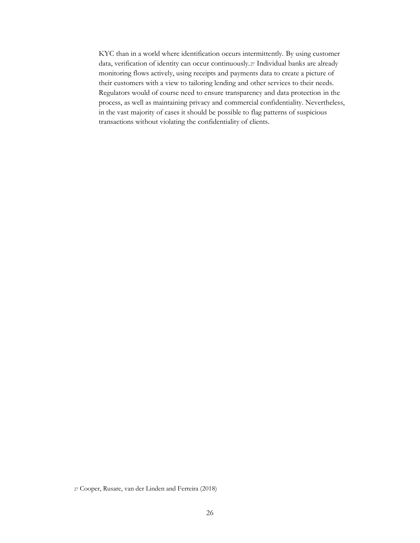KYC than in a world where identification occurs intermittently. By using customer data, verification of identity can occur continuously.<sup>27</sup> Individual banks are already monitoring flows actively, using receipts and payments data to create a picture of their customers with a view to tailoring lending and other services to their needs. Regulators would of course need to ensure transparency and data protection in the process, as well as maintaining privacy and commercial confidentiality. Nevertheless, in the vast majority of cases it should be possible to flag patterns of suspicious transactions without violating the confidentiality of clients.

<sup>27</sup> Cooper, Rusare, van der Linden and Ferreira (2018)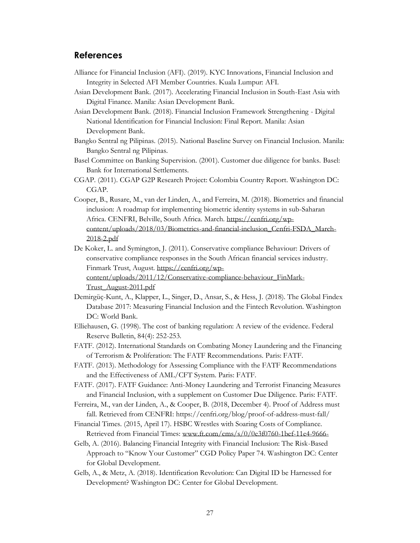## <span id="page-29-1"></span><span id="page-29-0"></span>**References**

- Alliance for Financial Inclusion (AFI). (2019). KYC Innovations, Financial Inclusion and Integrity in Selected AFI Member Countries. Kuala Lumpur: AFI.
- Asian Development Bank. (2017). Accelerating Financial Inclusion in South-East Asia with Digital Finance. Manila: Asian Development Bank.
- Asian Development Bank. (2018). Financial Inclusion Framework Strengthening Digital National Identification for Financial Inclusion: Final Report. Manila: Asian Development Bank.
- Bangko Sentral ng Pilipinas. (2015). National Baseline Survey on Financial Inclusion. Manila: Bangko Sentral ng Pilipinas.
- Basel Committee on Banking Supervision. (2001). Customer due diligence for banks. Basel: Bank for International Settlements.
- CGAP. (2011). CGAP G2P Research Project: Colombia Country Report. Washington DC: CGAP.
- Cooper, B., Rusare, M., van der Linden, A., and Ferreira, M. (2018). Biometrics and financial inclusion: A roadmap for implementing biometric identity systems in sub-Saharan Africa. CENFRI, Belville, South Africa. March. [https://cenfri.org/wp](https://cenfri.org/wp-content/uploads/2018/03/Biometrics-and-financial-inclusion_Cenfri-FSDA_March-2018-2.pdf)[content/uploads/2018/03/Biometrics-and-financial-inclusion\\_Cenfri-FSDA\\_March-](https://cenfri.org/wp-content/uploads/2018/03/Biometrics-and-financial-inclusion_Cenfri-FSDA_March-2018-2.pdf)[2018-2.pdf](https://cenfri.org/wp-content/uploads/2018/03/Biometrics-and-financial-inclusion_Cenfri-FSDA_March-2018-2.pdf)
- De Koker, L. and Symington, J. (2011). Conservative compliance Behaviour: Drivers of conservative compliance responses in the South African financial services industry. Finmark Trust, August. [https://cenfri.org/wp](https://cenfri.org/wp-content/uploads/2011/12/Conservative-compliance-behaviour_FinMark-Trust_August-2011.pdf)[content/uploads/2011/12/Conservative-compliance-behaviour\\_FinMark-](https://cenfri.org/wp-content/uploads/2011/12/Conservative-compliance-behaviour_FinMark-Trust_August-2011.pdf)

[Trust\\_August-2011.pdf](https://cenfri.org/wp-content/uploads/2011/12/Conservative-compliance-behaviour_FinMark-Trust_August-2011.pdf)

- Demirgüç-Kunt, A., Klapper, L., Singer, D., Ansar, S., & Hess, J. (2018). The Global Findex Database 2017: Measuring Financial Inclusion and the Fintech Revolution. Washington DC: World Bank.
- Elliehausen, G. (1998). The cost of banking regulation: A review of the evidence. Federal Reserve Bulletin, 84(4): 252-253.
- FATF. (2012). International Standards on Combating Money Laundering and the Financing of Terrorism & Proliferation: The FATF Recommendations. Paris: FATF.
- FATF. (2013). Methodology for Assessing Compliance with the FATF Recommendations and the Effectiveness of AML/CFT System. Paris: FATF.
- FATF. (2017). FATF Guidance: Anti-Money Laundering and Terrorist Financing Measures and Financial Inclusion, with a supplement on Customer Due Diligence. Paris: FATF.
- Ferreira, M., van der Linden, A., & Cooper, B. (2018, December 4). Proof of Address must fall. Retrieved from CENFRI: https://cenfri.org/blog/proof-of-address-must-fall/
- Financial Times. (2015, April 17). HSBC Wrestles with Soaring Costs of Compliance. Retrieved from Financial Times: [www.ft.com/cms/s/0/0e3f0760-1bef-11e4-9666-](http://www.ft.com/cms/s/0/0e3f0760-1bef-11e4-9666-)
- Gelb, A. (2016). Balancing Financial Integrity with Financial Inclusion: The Risk-Based Approach to "Know Your Customer" CGD Policy Paper 74. Washington DC: Center for Global Development.
- Gelb, A., & Metz, A. (2018). Identification Revolution: Can Digital ID be Harnessed for Development? Washington DC: Center for Global Development.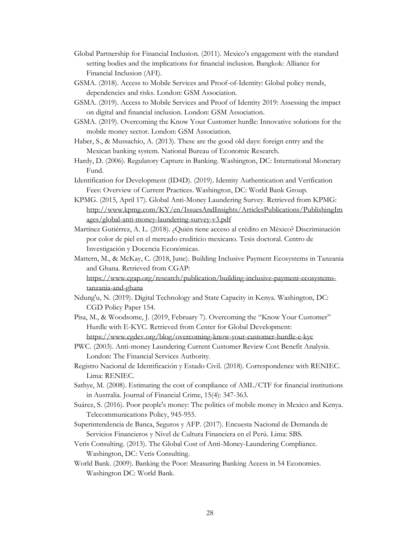- Global Partnership for Financial Inclusion. (2011). Mexico's engagement with the standard setting bodies and the implications for financial inclusion. Bangkok: Alliance for Financial Inclusion (AFI).
- GSMA. (2018). Access to Mobile Services and Proof-of-Identity: Global policy trends, dependencies and risks. London: GSM Association.
- GSMA. (2019). Access to Mobile Services and Proof of Identity 2019: Assessing the impact on digital and financial inclusion. London: GSM Association.
- GSMA. (2019). Overcoming the Know Your Customer hurdle: Innovative solutions for the mobile money sector. London: GSM Association.
- Haber, S., & Mussachio, A. (2013). These are the good old days: foreign entry and the Mexican banking system. National Bureau of Economic Research.
- Hardy, D. (2006). Regulatory Capture in Banking. Washington, DC: International Monetary Fund.
- Identification for Development (ID4D). (2019). Identity Authentication and Verification Fees: Overview of Current Practices. Washington, DC: World Bank Group.
- KPMG. (2015, April 17). Global Anti-Money Laundering Survey. Retrieved from KPMG: [http://www.kpmg.com/KY/en/IssuesAndInsights/ArticlesPublications/PublishingIm](http://www.kpmg.com/KY/en/IssuesAndInsights/ArticlesPublications/PublishingImages/global-anti-money-laundering-survey-v3.pdf) [ages/global-anti-money-laundering-survey-v3.pdf](http://www.kpmg.com/KY/en/IssuesAndInsights/ArticlesPublications/PublishingImages/global-anti-money-laundering-survey-v3.pdf)
- Martínez Gutiérrez, A. L. (2018). ¿Quién tiene acceso al crédito en México? Discriminación por color de piel en el mercado crediticio mexicano. Tesis doctoral. Centro de Investigación y Docencia Económicas.
- Mattern, M., & McKay, C. (2018, June). Building Inclusive Payment Ecosystems in Tanzania and Ghana. Retrieved from CGAP: [https://www.cgap.org/research/publication/building-inclusive-payment-ecosystems-](https://www.cgap.org/research/publication/building-inclusive-payment-ecosystems-tanzania-and-ghana)

[tanzania-and-ghana](https://www.cgap.org/research/publication/building-inclusive-payment-ecosystems-tanzania-and-ghana)

- Ndung'u, N. (2019). Digital Technology and State Capacity in Kenya. Washington, DC: CGD Policy Paper 154.
- Pisa, M., & Woodsome, J. (2019, February 7). Overcoming the "Know Your Customer" Hurdle with E-KYC. Retrieved from Center for Global Development: <https://www.cgdev.org/blog/overcoming-know-your-customer-hurdle-e-kyc>
- PWC. (2003). Anti-money Laundering Current Customer Review Cost Benefit Analysis. London: The Financial Services Authority.
- Registro Nacional de Identificación y Estado Civil. (2018). Correspondence with RENIEC. Lima: RENIEC.
- Sathye, M. (2008). Estimating the cost of compliance of AML/CTF for financial institutions in Australia. Journal of Financial Crime, 15(4): 347-363.
- Suárez, S. (2016). Poor people's money: The politics of mobile money in Mexico and Kenya. Telecommunications Policy, 945-955.
- Superintendencia de Banca, Seguros y AFP. (2017). Encuesta Nacional de Demanda de Servicios Financieros y Nivel de Cultura Financiera en el Perú. Lima: SBS.
- Veris Consulting. (2013). The Global Cost of Anti-Money-Laundering Compliance. Washington, DC: Veris Consulting.
- World Bank. (2009). Banking the Poor: Measuring Banking Access in 54 Economies. Washington DC: World Bank.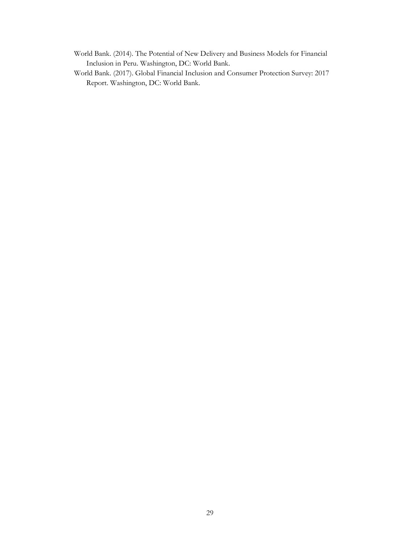- World Bank. (2014). The Potential of New Delivery and Business Models for Financial Inclusion in Peru. Washington, DC: World Bank.
- World Bank. (2017). Global Financial Inclusion and Consumer Protection Survey: 2017 Report. Washington, DC: World Bank.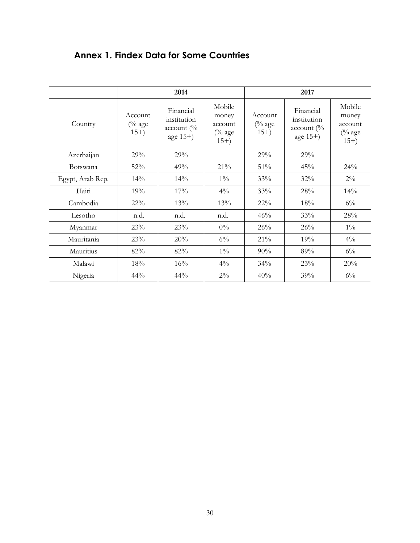<span id="page-32-1"></span><span id="page-32-0"></span>

|  |  |  |  | <b>Annex 1. Findex Data for Some Countries</b> |
|--|--|--|--|------------------------------------------------|
|--|--|--|--|------------------------------------------------|

|                  | 2014                                  |                                                             |                                                          | 2017                          |                                                                  |                                                  |  |
|------------------|---------------------------------------|-------------------------------------------------------------|----------------------------------------------------------|-------------------------------|------------------------------------------------------------------|--------------------------------------------------|--|
| Country          | Account<br>$\frac{6}{6}$ age<br>$15+$ | Financial<br>institution<br>$account$ ( $\%$<br>age $15+$ ) | Mobile<br>money<br>account<br>$\frac{6}{6}$ age<br>$15+$ | Account<br>$(%$ age<br>$15+)$ | Financial<br>institution<br>account $\frac{0}{6}$<br>age $15+$ ) | Mobile<br>money<br>account<br>$(%$ age<br>$15+)$ |  |
| Azerbaijan       | 29%                                   | 29%                                                         |                                                          | 29%                           | 29%                                                              |                                                  |  |
| Botswana         | 52%                                   | 49%                                                         | 21%                                                      | 51%                           | 45%                                                              | 24%                                              |  |
| Egypt, Arab Rep. | 14%                                   | 14%                                                         | $1\%$                                                    | 33%                           | 32%                                                              | $2\%$                                            |  |
| Haiti            | 19%                                   | 17%                                                         | $4\%$                                                    | 33%                           | 28%                                                              | 14%                                              |  |
| Cambodia         | 22%                                   | 13%                                                         | 13%                                                      | $22\%$                        | 18%                                                              | $6\%$                                            |  |
| Lesotho          | n.d.                                  | n.d.                                                        | n.d.                                                     | 46%                           | 33%                                                              | 28%                                              |  |
| Myanmar          | 23%                                   | 23%                                                         | $0\%$                                                    | 26%                           | 26%                                                              | $1\%$                                            |  |
| Mauritania       | 23%                                   | 20%                                                         | $6\%$                                                    | 21%                           | 19%                                                              | $4\%$                                            |  |
| Mauritius        | 82%                                   | 82%                                                         | $1\%$                                                    | 90%                           | 89%                                                              | $6\%$                                            |  |
| Malawi           | 18%                                   | 16%                                                         | $4\%$                                                    | 34%                           | 23%                                                              | 20%                                              |  |
| Nigeria          | 44%                                   | 44%                                                         | $2\%$                                                    | 40%                           | 39%                                                              | $6\%$                                            |  |